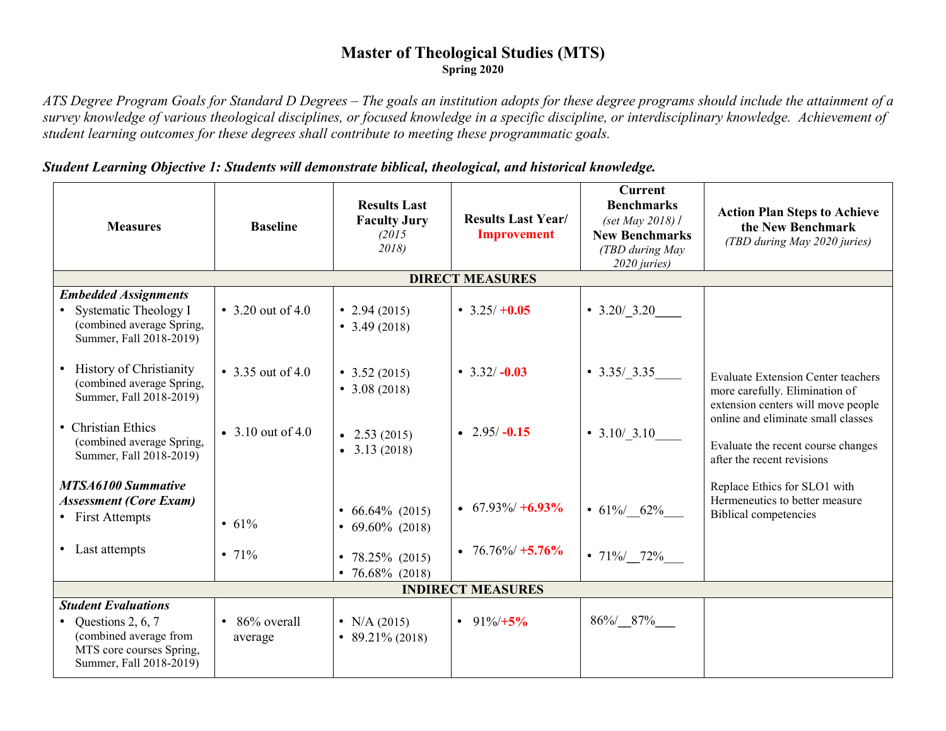## **Master of Theological Studies (MTS) Spring 2020**

*ATS Degree Program Goals for Standard D Degrees – The goals an institution adopts for these degree programs should include the attainment of a survey knowledge of various theological disciplines, or focused knowledge in a specific discipline, or interdisciplinary knowledge. Achievement of student learning outcomes for these degrees shall contribute to meeting these programmatic goals.* 

## *Student Learning Objective 1: Students will demonstrate biblical, theological, and historical knowledge.*

| <b>Measures</b>                                                                                                                    | <b>Baseline</b>             | <b>Results Last</b><br><b>Faculty Jury</b><br>(2015<br>2018) | <b>Results Last Year/</b><br><b>Improvement</b> | <b>Current</b><br><b>Benchmarks</b><br>(set May 2018) /<br><b>New Benchmarks</b><br>(TBD during May<br>2020 juries) | <b>Action Plan Steps to Achieve</b><br>the New Benchmark<br>(TBD during May 2020 juries)                   |  |  |
|------------------------------------------------------------------------------------------------------------------------------------|-----------------------------|--------------------------------------------------------------|-------------------------------------------------|---------------------------------------------------------------------------------------------------------------------|------------------------------------------------------------------------------------------------------------|--|--|
| <b>DIRECT MEASURES</b>                                                                                                             |                             |                                                              |                                                 |                                                                                                                     |                                                                                                            |  |  |
| <b>Embedded Assignments</b><br>Systematic Theology I<br>(combined average Spring,<br>Summer, Fall 2018-2019)                       | • 3.20 out of 4.0           | • 2.94 $(2015)$<br>• $3.49(2018)$                            | • $3.25/ +0.05$                                 | $\cdot$ 3.20/_3.20_                                                                                                 |                                                                                                            |  |  |
| • History of Christianity<br>(combined average Spring,<br>Summer, Fall 2018-2019)                                                  | • 3.35 out of 4.0           | $\bullet$ 3.52 (2015)<br>• $3.08(2018)$                      | • $3.32/-0.03$                                  | $\bullet$ 3.35/3.35                                                                                                 | Evaluate Extension Center teachers<br>more carefully. Elimination of<br>extension centers will move people |  |  |
| • Christian Ethics<br>(combined average Spring,<br>Summer, Fall 2018-2019)                                                         | • 3.10 out of 4.0           | $\bullet$ 2.53 (2015)<br>$\bullet$ 3.13 (2018)               | • $2.95/-0.15$                                  | • $3.10/3.10$                                                                                                       | online and eliminate small classes<br>Evaluate the recent course changes<br>after the recent revisions     |  |  |
| <b>MTSA6100 Summative</b><br><b>Assessment (Core Exam)</b><br>• First Attempts                                                     | • $61%$                     | • $66.64\%$ (2015)<br>$\bullet$ 69.60% (2018)                | $\cdot$ 67.93%/ +6.93%                          | • $61\%$ 62%                                                                                                        | Replace Ethics for SLO1 with<br>Hermeneutics to better measure<br><b>Biblical competencies</b>             |  |  |
| • Last attempts                                                                                                                    | • $71%$                     | • $78.25\%$ (2015)<br>• 76.68% (2018)                        | $\bullet$ 76.76%/ +5.76%                        | • $71\% / 72\%$                                                                                                     |                                                                                                            |  |  |
| <b>INDIRECT MEASURES</b>                                                                                                           |                             |                                                              |                                                 |                                                                                                                     |                                                                                                            |  |  |
| <b>Student Evaluations</b><br>• Questions 2, 6, 7<br>(combined average from<br>MTS core courses Spring,<br>Summer, Fall 2018-2019) | • $86\%$ overall<br>average | • N/A $(2015)$<br>$\bullet$ 89.21% (2018)                    | • $91\%/+5\%$                                   | 86%/87%                                                                                                             |                                                                                                            |  |  |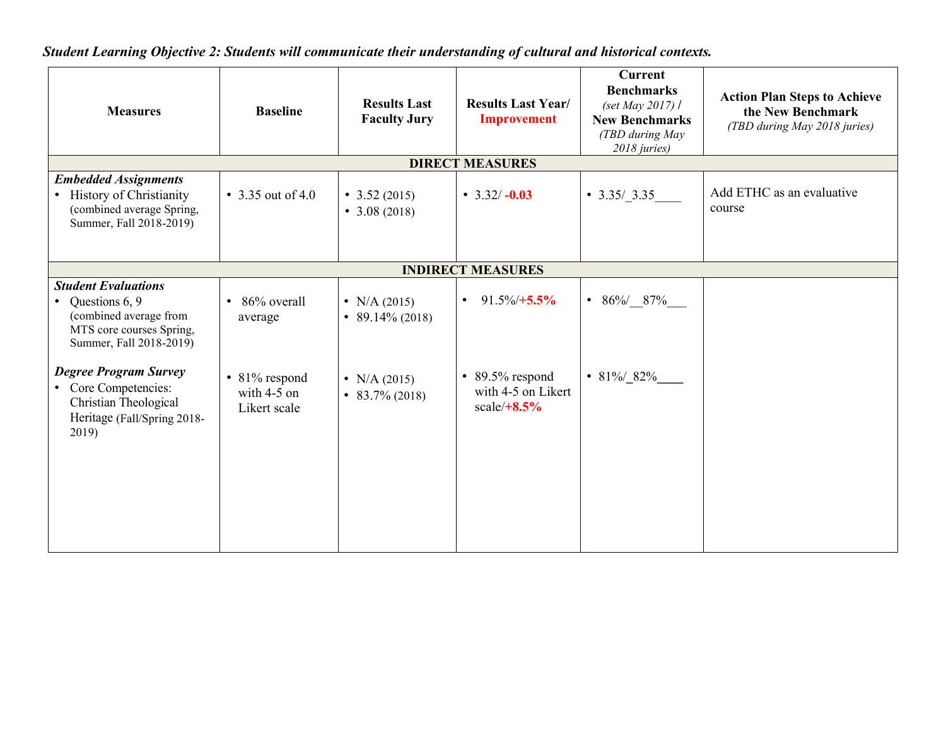*Student Learning Objective 2: Students will communicate their understanding of cultural and historical contexts.*

| <b>Measures</b>                                                                                                                            | <b>Baseline</b>                                | <b>Results Last</b><br><b>Faculty Jury</b> | <b>Results Last Year/</b><br><b>Improvement</b>               | <b>Current</b><br><b>Benchmarks</b><br>(set May 2017) $\ell$<br><b>New Benchmarks</b><br>(TBD during May<br>2018 juries) | <b>Action Plan Steps to Achieve</b><br>the New Benchmark<br>(TBD during May 2018 juries) |  |  |
|--------------------------------------------------------------------------------------------------------------------------------------------|------------------------------------------------|--------------------------------------------|---------------------------------------------------------------|--------------------------------------------------------------------------------------------------------------------------|------------------------------------------------------------------------------------------|--|--|
|                                                                                                                                            |                                                |                                            | <b>DIRECT MEASURES</b>                                        |                                                                                                                          |                                                                                          |  |  |
| <b>Embedded Assignments</b><br>• History of Christianity<br>(combined average Spring,<br>Summer, Fall 2018-2019)                           | • 3.35 out of 4.0                              | • $3.52(2015)$<br>• $3.08(2018)$           | • $3.32/-0.03$                                                | $\bullet$ 3.35/3.35                                                                                                      | Add ETHC as an evaluative<br>course                                                      |  |  |
| <b>INDIRECT MEASURES</b>                                                                                                                   |                                                |                                            |                                                               |                                                                                                                          |                                                                                          |  |  |
| <b>Student Evaluations</b><br>Questions 6, 9<br>$\bullet$<br>(combined average from<br>MTS core courses Spring,<br>Summer, Fall 2018-2019) | 86% overall<br>$\bullet$<br>average            | • N/A $(2015)$<br>• 89.14% (2018)          | $91.5\%/+5.5\%$<br>$\bullet$                                  | • $86\% / \_ 87\%$                                                                                                       |                                                                                          |  |  |
| <b>Degree Program Survey</b><br>• Core Competencies:<br>Christian Theological<br>Heritage (Fall/Spring 2018-<br>2019)                      | • 81% respond<br>with $4-5$ on<br>Likert scale | • N/A $(2015)$<br>$\bullet$ 83.7% (2018)   | $\cdot$ 89.5% respond<br>with 4-5 on Likert<br>scale/ $+8.5%$ | • 81% 82%                                                                                                                |                                                                                          |  |  |